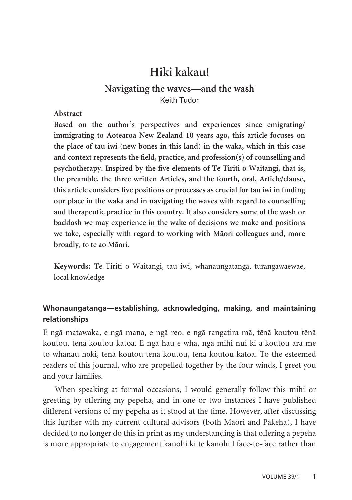# **Hiki kakau!**

## **Navigating the waves—and the wash** Keith Tudor

#### **Abstract**

**Based on the author's perspectives and experiences since emigrating/ immigrating to Aotearoa New Zealand 10 years ago, this article focuses on the place of tau iwi (new bones in this land) in the waka, which in this case and context represents the field, practice, and profession(s) of counselling and psychotherapy. Inspired by the five elements of Te Tiriti o Waitangi, that is, the preamble, the three written Articles, and the fourth, oral, Article/clause, this article considers five positions or processes as crucial for tau iwi in finding our place in the waka and in navigating the waves with regard to counselling and therapeutic practice in this country. It also considers some of the wash or backlash we may experience in the wake of decisions we make and positions we take, especially with regard to working with Mäori colleagues and, more broadly, to te ao Mäori.**

**Keywords:** Te Tiriti o Waitangi, tau iwi, whanaungatanga, turangawaewae, local knowledge

## **Whönaungatanga—establishing, acknowledging, making, and maintaining relationships**

E ngä matawaka, e ngä mana, e ngä reo, e ngä rangatira mä, tënä koutou tënä koutou, tënä koutou katoa. E ngä hau e whä, ngä mihi nui ki a koutou arä me to whänau hoki, tënä koutou tënä koutou, tënä koutou katoa. To the esteemed readers of this journal, who are propelled together by the four winds, I greet you and your families.

When speaking at formal occasions, I would generally follow this mihi or greeting by offering my pepeha, and in one or two instances I have published different versions of my pepeha as it stood at the time. However, after discussing this further with my current cultural advisors (both Mäori and Päkehä), I have decided to no longer do this in print as my understanding is that offering a pepeha is more appropriate to engagement kanohi ki te kanohi | face-to-face rather than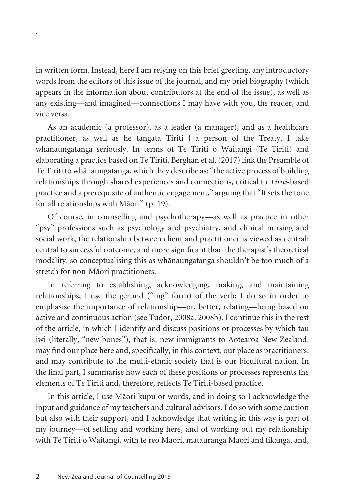in written form. Instead, here I am relying on this brief greeting, any introductory words from the editors of this issue of the journal, and my brief biography (which appears in the information about contributors at the end of the issue), as well as any existing—and imagined—connections I may have with you, the reader, and vice versa.

.

As an academic (a professor), as a leader (a manager), and as a healthcare practitioner, as well as he tangata Tiriti  $\vert$  a person of the Treaty, I take whänaungatanga seriously. In terms of Te Tiriti o Waitangi (Te Tiriti) and elaborating a practice based on Te Tiriti, Berghan et al. (2017) link the Preamble of Te Tiriti to whänaungatanga, which they describe as: "the active process of building relationships through shared experiences and connections, critical to *Tiriti*-based practice and a prerequisite of authentic engagement," arguing that "It sets the tone for all relationships with Mäori" (p. 19).

Of course, in counselling and psychotherapy—as well as practice in other "psy" professions such as psychology and psychiatry, and clinical nursing and social work, the relationship between client and practitioner is viewed as central: central to successful outcome, and more significant than the therapist's theoretical modality, so conceptualising this as whänaungatanga shouldn't be too much of a stretch for non-Mäori practitioners.

In referring to establishing, acknowledging, making, and maintaining relationships, I use the gerund ("ing" form) of the verb; I do so in order to emphasise the importance of relationship—or, better, relating—being based on active and continuous action (see Tudor, 2008a, 2008b). I continue this in the rest of the article, in which I identify and discuss positions or processes by which tau iwi (literally, "new bones"), that is, new immigrants to Aotearoa New Zealand, may find our place here and, specifically, in this context, our place as practitioners, and may contribute to the multi-ethnic society that is our bicultural nation. In the final part, I summarise how each of these positions or processes represents the elements of Te Tiriti and, therefore, reflects Te Tiriti-based practice.

In this article, I use Mäori kupu or words, and in doing so I acknowledge the input and guidance of my teachers and cultural advisors. I do so with some caution but also with their support, and I acknowledge that writing in this way is part of my journey—of settling and working here, and of working out my relationship with Te Tiriti o Waitangi, with te reo Mäori, mätauranga Mäori and tikanga, and,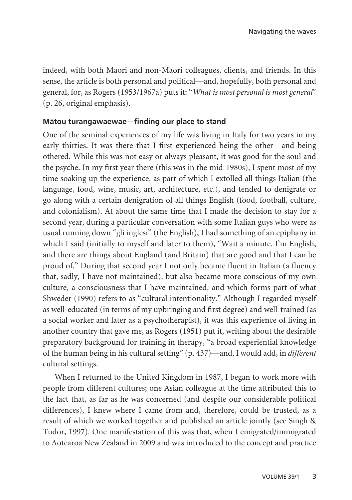indeed, with both Mäori and non-Mäori colleagues, clients, and friends. In this sense, the article is both personal and political—and, hopefully, both personal and general, for, as Rogers (1953/1967a) puts it: "*What is most personal is most general*" (p. 26, original emphasis).

### **Mätou turangawaewae—finding our place to stand**

One of the seminal experiences of my life was living in Italy for two years in my early thirties. It was there that I first experienced being the other—and being othered. While this was not easy or always pleasant, it was good for the soul and the psyche. In my first year there (this was in the mid-1980s), I spent most of my time soaking up the experience, as part of which I extolled all things Italian (the language, food, wine, music, art, architecture, etc.), and tended to denigrate or go along with a certain denigration of all things English (food, football, culture, and colonialism). At about the same time that I made the decision to stay for a second year, during a particular conversation with some Italian guys who were as usual running down "gli inglesi" (the English), I had something of an epiphany in which I said (initially to myself and later to them), "Wait a minute. I'm English, and there are things about England (and Britain) that are good and that I can be proud of." During that second year I not only became fluent in Italian (a fluency that, sadly, I have not maintained), but also became more conscious of my own culture, a consciousness that I have maintained, and which forms part of what Shweder (1990) refers to as "cultural intentionality." Although I regarded myself as well-educated (in terms of my upbringing and first degree) and well-trained (as a social worker and later as a psychotherapist), it was this experience of living in another country that gave me, as Rogers (1951) put it, writing about the desirable preparatory background for training in therapy, "a broad experiential knowledge of the human being in his cultural setting" (p. 437)—and, I would add, in *different* cultural settings.

When I returned to the United Kingdom in 1987, I began to work more with people from different cultures; one Asian colleague at the time attributed this to the fact that, as far as he was concerned (and despite our considerable political differences), I knew where I came from and, therefore, could be trusted, as a result of which we worked together and published an article jointly (see Singh & Tudor, 1997). One manifestation of this was that, when I emigrated/immigrated to Aotearoa New Zealand in 2009 and was introduced to the concept and practice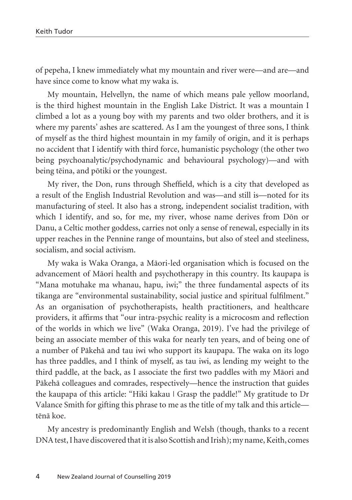of pepeha, I knew immediately what my mountain and river were—and are—and have since come to know what my waka is.

My mountain, Helvellyn, the name of which means pale yellow moorland, is the third highest mountain in the English Lake District. It was a mountain I climbed a lot as a young boy with my parents and two older brothers, and it is where my parents' ashes are scattered. As I am the youngest of three sons, I think of myself as the third highest mountain in my family of origin, and it is perhaps no accident that I identify with third force, humanistic psychology (the other two being psychoanalytic/psychodynamic and behavioural psychology)—and with being tëina, and pötiki or the youngest.

My river, the Don, runs through Sheffield, which is a city that developed as a result of the English Industrial Revolution and was—and still is—noted for its manufacturing of steel. It also has a strong, independent socialist tradition, with which I identify, and so, for me, my river, whose name derives from Dön or Danu, a Celtic mother goddess, carries not only a sense of renewal, especially in its upper reaches in the Pennine range of mountains, but also of steel and steeliness, socialism, and social activism.

My waka is Waka Oranga, a Mäori-led organisation which is focused on the advancement of Mäori health and psychotherapy in this country. Its kaupapa is "Mana motuhake ma whanau, hapu, iwi;" the three fundamental aspects of its tikanga are "environmental sustainability, social justice and spiritual fulfilment." As an organisation of psychotherapists, health practitioners, and healthcare providers, it affirms that "our intra-psychic reality is a microcosm and reflection of the worlds in which we live" (Waka Oranga, 2019). I've had the privilege of being an associate member of this waka for nearly ten years, and of being one of a number of Päkehä and tau iwi who support its kaupapa. The waka on its logo has three paddles, and I think of myself, as tau iwi, as lending my weight to the third paddle, at the back, as I associate the first two paddles with my Mäori and Päkehä colleagues and comrades, respectively—hence the instruction that guides the kaupapa of this article: "Hiki kakau | Grasp the paddle!" My gratitude to Dr Valance Smith for gifting this phrase to me as the title of my talk and this article tënä koe.

My ancestry is predominantly English and Welsh (though, thanks to a recent DNA test, I have discovered that it is also Scottish and Irish); my name, Keith, comes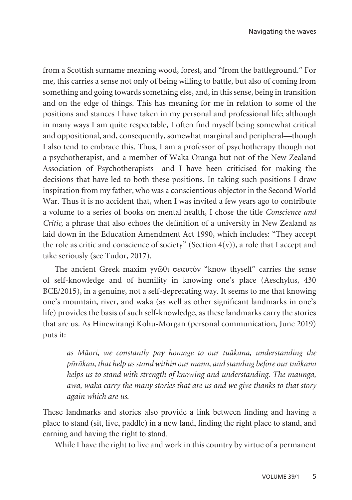from a Scottish surname meaning wood, forest, and "from the battleground." For me, this carries a sense not only of being willing to battle, but also of coming from something and going towards something else, and, in this sense, being in transition and on the edge of things. This has meaning for me in relation to some of the positions and stances I have taken in my personal and professional life; although in many ways I am quite respectable, I often find myself being somewhat critical and oppositional, and, consequently, somewhat marginal and peripheral—though I also tend to embrace this. Thus, I am a professor of psychotherapy though not a psychotherapist, and a member of Waka Oranga but not of the New Zealand Association of Psychotherapists—and I have been criticised for making the decisions that have led to both these positions. In taking such positions I draw inspiration from my father, who was a conscientious objector in the Second World War. Thus it is no accident that, when I was invited a few years ago to contribute a volume to a series of books on mental health, I chose the title *Conscience and Critic*, a phrase that also echoes the definition of a university in New Zealand as laid down in the Education Amendment Act 1990, which includes: "They accept the role as critic and conscience of society" (Section  $4(v)$ ), a role that I accept and take seriously (see Tudor, 2017).

The ancient Greek maxim γνῶθι σεαυτόν "know thyself" carries the sense of self-knowledge and of humility in knowing one's place (Aeschylus, 430 BCE/2015), in a genuine, not a self-deprecating way. It seems to me that knowing one's mountain, river, and waka (as well as other significant landmarks in one's life) provides the basis of such self-knowledge, as these landmarks carry the stories that are us. As Hinewirangi Kohu-Morgan (personal communication, June 2019) puts it:

*as Mäori, we constantly pay homage to our tuäkana, understanding the püräkau, that help us stand within our mana, and standing before our tuäkana helps us to stand with strength of knowing and understanding. The maunga, awa, waka carry the many stories that are us and we give thanks to that story again which are us.*

These landmarks and stories also provide a link between finding and having a place to stand (sit, live, paddle) in a new land, finding the right place to stand, and earning and having the right to stand.

While I have the right to live and work in this country by virtue of a permanent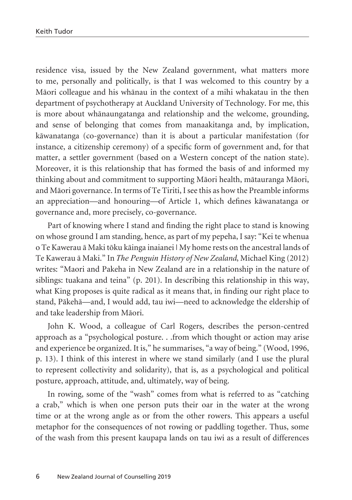residence visa, issued by the New Zealand government, what matters more to me, personally and politically, is that I was welcomed to this country by a Mäori colleague and his whänau in the context of a mihi whakatau in the then department of psychotherapy at Auckland University of Technology. For me, this is more about whänaungatanga and relationship and the welcome, grounding, and sense of belonging that comes from manaakitanga and, by implication, käwanatanga (co-governance) than it is about a particular manifestation (for instance, a citizenship ceremony) of a specific form of government and, for that matter, a settler government (based on a Western concept of the nation state). Moreover, it is this relationship that has formed the basis of and informed my thinking about and commitment to supporting Mäori health, mätauranga Mäori, and Mäori governance. In terms of Te Tiriti, I see this as how the Preamble informs an appreciation—and honouring—of Article 1, which defines käwanatanga or governance and, more precisely, co-governance.

Part of knowing where I stand and finding the right place to stand is knowing on whose ground I am standing, hence, as part of my pepeha, I say: "Kei te whenua o Te Kawerau ä Maki töku käinga inaianei | My home rests on the ancestral lands of Te Kawerau ä Maki." In *The Penguin History of New Zealand*, Michael King (2012) writes: "Maori and Pakeha in New Zealand are in a relationship in the nature of siblings: tuakana and teina" (p. 201). In describing this relationship in this way, what King proposes is quite radical as it means that, in finding our right place to stand, Päkehä—and, I would add, tau iwi—need to acknowledge the eldership of and take leadership from Mäori.

John K. Wood, a colleague of Carl Rogers, describes the person-centred approach as a "psychological posture. . .from which thought or action may arise and experience be organized. It is," he summarises, "a way of being." (Wood, 1996, p. 13). I think of this interest in where we stand similarly (and I use the plural to represent collectivity and solidarity), that is, as a psychological and political posture, approach, attitude, and, ultimately, way of being.

In rowing, some of the "wash" comes from what is referred to as "catching a crab," which is when one person puts their oar in the water at the wrong time or at the wrong angle as or from the other rowers. This appears a useful metaphor for the consequences of not rowing or paddling together. Thus, some of the wash from this present kaupapa lands on tau iwi as a result of differences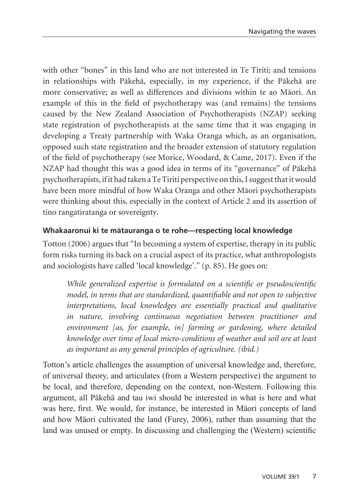with other "bones" in this land who are not interested in Te Tiriti; and tensions in relationships with Päkehä, especially, in my experience, if the Päkehä are more conservative; as well as differences and divisions within te ao Mäori. An example of this in the field of psychotherapy was (and remains) the tensions caused by the New Zealand Association of Psychotherapists (NZAP) seeking state registration of psychotherapists at the same time that it was engaging in developing a Treaty partnership with Waka Oranga which, as an organisation, opposed such state registration and the broader extension of statutory regulation of the field of psychotherapy (see Morice, Woodard, & Came, 2017). Even if the NZAP had thought this was a good idea in terms of its "governance" of Päkehä psychotherapists, if it had taken a Te Tiriti perspective on this, I suggest that it would have been more mindful of how Waka Oranga and other Mäori psychotherapists were thinking about this, especially in the context of Article 2 and its assertion of tino rangatiratanga or sovereignty.

## **Whakaaronui ki te mätauranga o te rohe—respecting local knowledge**

Totton (2006) argues that "In becoming a system of expertise, therapy in its public form risks turning its back on a crucial aspect of its practice, what anthropologists and sociologists have called 'local knowledge'." (p. 85). He goes on:

*While generalized expertise is formulated on a scientific or pseudoscientific model, in terms that are standardized, quantifiable and not open to subjective interpretations, local knowledges are essentially practical and qualitative in nature, involving continuous negotiation between practitioner and environment [as, for example, in] farming or gardening, where detailed knowledge over time of local micro-conditions of weather and soil are at least as important as any general principles of agriculture. (ibid.)*

Totton's article challenges the assumption of universal knowledge and, therefore, of universal theory, and articulates (from a Western perspective) the argument to be local, and therefore, depending on the context, non-Western. Following this argument, all Päkehä and tau iwi should be interested in what is here and what was here, first. We would, for instance, be interested in Mäori concepts of land and how Mäori cultivated the land (Furey, 2006), rather than assuming that the land was unused or empty. In discussing and challenging the (Western) scientific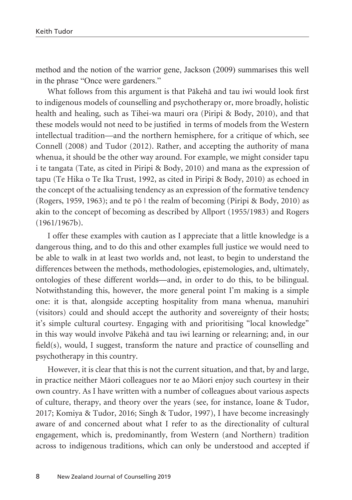method and the notion of the warrior gene, Jackson (2009) summarises this well in the phrase "Once were gardeners."

What follows from this argument is that Päkehä and tau iwi would look first to indigenous models of counselling and psychotherapy or, more broadly, holistic health and healing, such as Tihei-wa mauri ora (Piripi & Body, 2010), and that these models would not need to be justified in terms of models from the Western intellectual tradition—and the northern hemisphere, for a critique of which, see Connell (2008) and Tudor (2012). Rather, and accepting the authority of mana whenua, it should be the other way around. For example, we might consider tapu i te tangata (Tate, as cited in Piripi & Body, 2010) and mana as the expression of tapu (Te Hika o Te Ika Trust, 1992, as cited in Piripi & Body, 2010) as echoed in the concept of the actualising tendency as an expression of the formative tendency (Rogers, 1959, 1963); and te pō | the realm of becoming (Piripi & Body, 2010) as akin to the concept of becoming as described by Allport (1955/1983) and Rogers (1961/1967b).

I offer these examples with caution as I appreciate that a little knowledge is a dangerous thing, and to do this and other examples full justice we would need to be able to walk in at least two worlds and, not least, to begin to understand the differences between the methods, methodologies, epistemologies, and, ultimately, ontologies of these different worlds—and, in order to do this, to be bilingual. Notwithstanding this, however, the more general point I'm making is a simple one: it is that, alongside accepting hospitality from mana whenua, manuhiri (visitors) could and should accept the authority and sovereignty of their hosts; it's simple cultural courtesy. Engaging with and prioritising "local knowledge" in this way would involve Päkehä and tau iwi learning or relearning; and, in our field(s), would, I suggest, transform the nature and practice of counselling and psychotherapy in this country.

However, it is clear that this is not the current situation, and that, by and large, in practice neither Mäori colleagues nor te ao Mäori enjoy such courtesy in their own country. As I have written with a number of colleagues about various aspects of culture, therapy, and theory over the years (see, for instance, Ioane & Tudor, 2017; Komiya & Tudor, 2016; Singh & Tudor, 1997), I have become increasingly aware of and concerned about what I refer to as the directionality of cultural engagement, which is, predominantly, from Western (and Northern) tradition across to indigenous traditions, which can only be understood and accepted if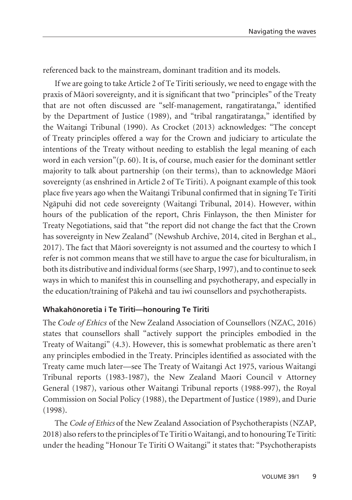referenced back to the mainstream, dominant tradition and its models.

If we are going to take Article 2 of Te Tiriti seriously, we need to engage with the praxis of Mäori sovereignty, and it is significant that two "principles" of the Treaty that are not often discussed are "self-management, rangatiratanga," identified by the Department of Justice (1989), and "tribal rangatiratanga," identified by the Waitangi Tribunal (1990). As Crocket (2013) acknowledges: "The concept of Treaty principles offered a way for the Crown and judiciary to articulate the intentions of the Treaty without needing to establish the legal meaning of each word in each version"(p. 60). It is, of course, much easier for the dominant settler majority to talk about partnership (on their terms), than to acknowledge Mäori sovereignty (as enshrined in Article 2 of Te Tiriti). A poignant example of this took place five years ago when the Waitangi Tribunal confirmed that in signing Te Tiriti Ngäpuhi did not cede sovereignty (Waitangi Tribunal, 2014). However, within hours of the publication of the report, Chris Finlayson, the then Minister for Treaty Negotiations, said that "the report did not change the fact that the Crown has sovereignty in New Zealand" (Newshub Archive, 2014, cited in Berghan et al., 2017). The fact that Mäori sovereignty is not assumed and the courtesy to which I refer is not common means that we still have to argue the case for biculturalism, in both its distributive and individual forms (see Sharp, 1997), and to continue to seek ways in which to manifest this in counselling and psychotherapy, and especially in the education/training of Päkehä and tau iwi counsellors and psychotherapists.

## **Whakahönoretia i Te Tiriti—honouring Te Tiriti**

The *Code of Ethics* of the New Zealand Association of Counsellors (NZAC, 2016) states that counsellors shall "actively support the principles embodied in the Treaty of Waitangi" (4.3). However, this is somewhat problematic as there aren't any principles embodied in the Treaty. Principles identified as associated with the Treaty came much later—see The Treaty of Waitangi Act 1975, various Waitangi Tribunal reports (1983-1987), the New Zealand Maori Council v Attorney General (1987), various other Waitangi Tribunal reports (1988-997), the Royal Commission on Social Policy (1988), the Department of Justice (1989), and Durie (1998).

The *Code of Ethics* of the New Zealand Association of Psychotherapists (NZAP, 2018) also refers to the principles of Te Tiriti o Waitangi, and to honouring Te Tiriti: under the heading "Honour Te Tiriti O Waitangi" it states that: "Psychotherapists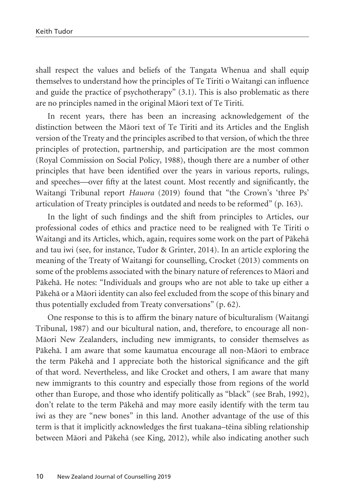shall respect the values and beliefs of the Tangata Whenua and shall equip themselves to understand how the principles of Te Tiriti o Waitangi can influence and guide the practice of psychotherapy" (3.1). This is also problematic as there are no principles named in the original Mäori text of Te Tiriti.

In recent years, there has been an increasing acknowledgement of the distinction between the Mäori text of Te Tiriti and its Articles and the English version of the Treaty and the principles ascribed to that version, of which the three principles of protection, partnership, and participation are the most common (Royal Commission on Social Policy, 1988), though there are a number of other principles that have been identified over the years in various reports, rulings, and speeches—over fifty at the latest count. Most recently and significantly, the Waitangi Tribunal report *Hauora* (2019) found that "the Crown's 'three Ps' articulation of Treaty principles is outdated and needs to be reformed" (p. 163).

In the light of such findings and the shift from principles to Articles, our professional codes of ethics and practice need to be realigned with Te Tiriti o Waitangi and its Articles, which, again, requires some work on the part of Päkehä and tau iwi (see, for instance, Tudor & Grinter, 2014). In an article exploring the meaning of the Treaty of Waitangi for counselling, Crocket (2013) comments on some of the problems associated with the binary nature of references to Mäori and Päkehä. He notes: "Individuals and groups who are not able to take up either a Päkehä or a Mäori identity can also feel excluded from the scope of this binary and thus potentially excluded from Treaty conversations" (p. 62).

One response to this is to affirm the binary nature of biculturalism (Waitangi Tribunal, 1987) and our bicultural nation, and, therefore, to encourage all non-Mäori New Zealanders, including new immigrants, to consider themselves as Päkehä. I am aware that some kaumatua encourage all non-Mäori to embrace the term Päkehä and I appreciate both the historical significance and the gift of that word. Nevertheless, and like Crocket and others, I am aware that many new immigrants to this country and especially those from regions of the world other than Europe, and those who identify politically as "black" (see Brah, 1992), don't relate to the term Päkehä and may more easily identify with the term tau iwi as they are "new bones" in this land. Another advantage of the use of this term is that it implicitly acknowledges the first tuakana–tëina sibling relationship between Mäori and Päkehä (see King, 2012), while also indicating another such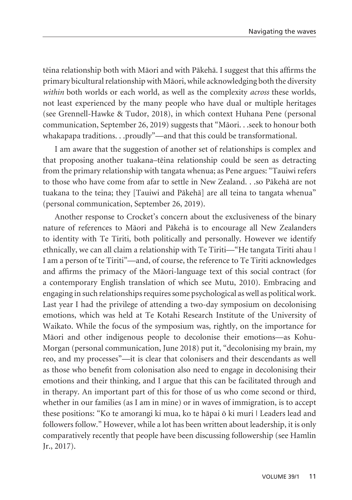tëina relationship both with Mäori and with Päkehä. I suggest that this affirms the primary bicultural relationship with Mäori, while acknowledging both the diversity *within* both worlds or each world, as well as the complexity *across* these worlds, not least experienced by the many people who have dual or multiple heritages (see Grennell-Hawke & Tudor, 2018), in which context Huhana Pene (personal communication, September 26, 2019) suggests that "Mäori. . .seek to honour both whakapapa traditions. . .proudly"—and that this could be transformational.

I am aware that the suggestion of another set of relationships is complex and that proposing another tuakana–tëina relationship could be seen as detracting from the primary relationship with tangata whenua; as Pene argues: "Tauiwi refers to those who have come from afar to settle in New Zealand. . .so Päkehä are not tuakana to the teina; they [Tauiwi and Päkehä] are all teina to tangata whenua" (personal communication, September 26, 2019).

Another response to Crocket's concern about the exclusiveness of the binary nature of references to Mäori and Päkehä is to encourage all New Zealanders to identity with Te Tiriti, both politically and personally. However we identify ethnically, we can all claim a relationship with Te Tiriti—"He tangata Tiriti ahau | I am a person of te Tiriti"—and, of course, the reference to Te Tiriti acknowledges and affirms the primacy of the Mäori-language text of this social contract (for a contemporary English translation of which see Mutu, 2010). Embracing and engaging in such relationships requires some psychological as well as political work. Last year I had the privilege of attending a two-day symposium on decolonising emotions, which was held at Te Kotahi Research Institute of the University of Waikato. While the focus of the symposium was, rightly, on the importance for Mäori and other indigenous people to decolonise their emotions—as Kohu-Morgan (personal communication, June 2018) put it, "decolonising my brain, my reo, and my processes"—it is clear that colonisers and their descendants as well as those who benefit from colonisation also need to engage in decolonising their emotions and their thinking, and I argue that this can be facilitated through and in therapy. An important part of this for those of us who come second or third, whether in our families (as I am in mine) or in waves of immigration, is to accept these positions: "Ko te amorangi ki mua, ko te häpai ö ki muri | Leaders lead and followers follow." However, while a lot has been written about leadership, it is only comparatively recently that people have been discussing followership (see Hamlin Jr., 2017).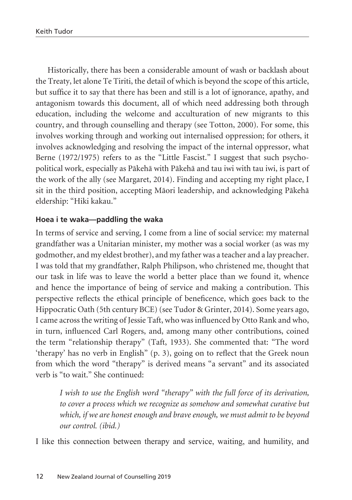Historically, there has been a considerable amount of wash or backlash about the Treaty, let alone Te Tiriti, the detail of which is beyond the scope of this article, but suffice it to say that there has been and still is a lot of ignorance, apathy, and antagonism towards this document, all of which need addressing both through education, including the welcome and acculturation of new migrants to this country, and through counselling and therapy (see Totton, 2000). For some, this involves working through and working out internalised oppression; for others, it involves acknowledging and resolving the impact of the internal oppressor, what Berne (1972/1975) refers to as the "Little Fascist." I suggest that such psychopolitical work, especially as Päkehä with Päkehä and tau iwi with tau iwi, is part of the work of the ally (see Margaret, 2014). Finding and accepting my right place, I sit in the third position, accepting Mäori leadership, and acknowledging Päkehä eldership: "Hiki kakau."

#### **Hoea i te waka—paddling the waka**

In terms of service and serving, I come from a line of social service: my maternal grandfather was a Unitarian minister, my mother was a social worker (as was my godmother, and my eldest brother), and my father was a teacher and a lay preacher. I was told that my grandfather, Ralph Philipson, who christened me, thought that our task in life was to leave the world a better place than we found it, whence and hence the importance of being of service and making a contribution. This perspective reflects the ethical principle of beneficence, which goes back to the Hippocratic Oath (5th century BCE) (see Tudor & Grinter, 2014). Some years ago, I came across the writing of Jessie Taft, who was influenced by Otto Rank and who, in turn, influenced Carl Rogers, and, among many other contributions, coined the term "relationship therapy" (Taft, 1933). She commented that: "The word 'therapy' has no verb in English" (p. 3), going on to reflect that the Greek noun from which the word "therapy" is derived means "a servant" and its associated verb is "to wait." She continued:

*I wish to use the English word "therapy" with the full force of its derivation, to cover a process which we recognize as somehow and somewhat curative but which, if we are honest enough and brave enough, we must admit to be beyond our control. (ibid.)*

I like this connection between therapy and service, waiting, and humility, and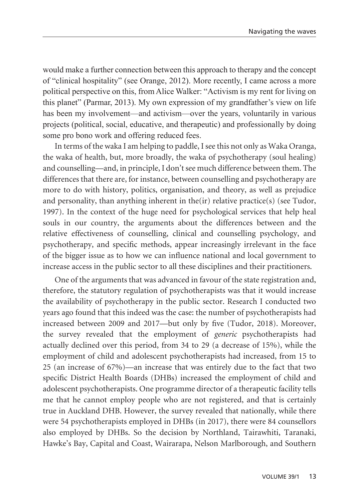would make a further connection between this approach to therapy and the concept of "clinical hospitality" (see Orange, 2012). More recently, I came across a more political perspective on this, from Alice Walker: "Activism is my rent for living on this planet" (Parmar, 2013). My own expression of my grandfather's view on life has been my involvement—and activism—over the years, voluntarily in various projects (political, social, educative, and therapeutic) and professionally by doing some pro bono work and offering reduced fees.

In terms of the waka I am helping to paddle, I see this not only as Waka Oranga, the waka of health, but, more broadly, the waka of psychotherapy (soul healing) and counselling—and, in principle, I don't see much difference between them. The differences that there are, for instance, between counselling and psychotherapy are more to do with history, politics, organisation, and theory, as well as prejudice and personality, than anything inherent in the(ir) relative practice(s) (see Tudor, 1997). In the context of the huge need for psychological services that help heal souls in our country, the arguments about the differences between and the relative effectiveness of counselling, clinical and counselling psychology, and psychotherapy, and specific methods, appear increasingly irrelevant in the face of the bigger issue as to how we can influence national and local government to increase access in the public sector to all these disciplines and their practitioners.

One of the arguments that was advanced in favour of the state registration and, therefore, the statutory regulation of psychotherapists was that it would increase the availability of psychotherapy in the public sector. Research I conducted two years ago found that this indeed was the case: the number of psychotherapists had increased between 2009 and 2017—but only by five (Tudor, 2018). Moreover, the survey revealed that the employment of *generic* psychotherapists had actually declined over this period, from 34 to 29 (a decrease of 15%), while the employment of child and adolescent psychotherapists had increased, from 15 to 25 (an increase of 67%)—an increase that was entirely due to the fact that two specific District Health Boards (DHBs) increased the employment of child and adolescent psychotherapists. One programme director of a therapeutic facility tells me that he cannot employ people who are not registered, and that is certainly true in Auckland DHB. However, the survey revealed that nationally, while there were 54 psychotherapists employed in DHBs (in 2017), there were 84 counsellors also employed by DHBs. So the decision by Northland, Tairawhiti, Taranaki, Hawke's Bay, Capital and Coast, Wairarapa, Nelson Marlborough, and Southern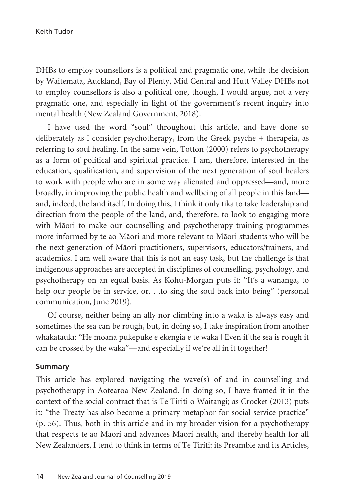DHBs to employ counsellors is a political and pragmatic one, while the decision by Waitemata, Auckland, Bay of Plenty, Mid Central and Hutt Valley DHBs not to employ counsellors is also a political one, though, I would argue, not a very pragmatic one, and especially in light of the government's recent inquiry into mental health (New Zealand Government, 2018).

I have used the word "soul" throughout this article, and have done so deliberately as I consider psychotherapy, from the Greek psyche + therapeia, as referring to soul healing. In the same vein, Totton (2000) refers to psychotherapy as a form of political and spiritual practice. I am, therefore, interested in the education, qualification, and supervision of the next generation of soul healers to work with people who are in some way alienated and oppressed—and, more broadly, in improving the public health and wellbeing of all people in this land and, indeed, the land itself. In doing this, I think it only tika to take leadership and direction from the people of the land, and, therefore, to look to engaging more with Mäori to make our counselling and psychotherapy training programmes more informed by te ao Mäori and more relevant to Mäori students who will be the next generation of Mäori practitioners, supervisors, educators/trainers, and academics. I am well aware that this is not an easy task, but the challenge is that indigenous approaches are accepted in disciplines of counselling, psychology, and psychotherapy on an equal basis. As Kohu-Morgan puts it: "It's a wananga, to help our people be in service, or. . .to sing the soul back into being" (personal communication, June 2019).

Of course, neither being an ally nor climbing into a waka is always easy and sometimes the sea can be rough, but, in doing so, I take inspiration from another whakataukï: "He moana pukepuke e ekengia e te waka | Even if the sea is rough it can be crossed by the waka"—and especially if we're all in it together!

#### **Summary**

This article has explored navigating the wave(s) of and in counselling and psychotherapy in Aotearoa New Zealand. In doing so, I have framed it in the context of the social contract that is Te Tiriti o Waitangi; as Crocket (2013) puts it: "the Treaty has also become a primary metaphor for social service practice" (p. 56). Thus, both in this article and in my broader vision for a psychotherapy that respects te ao Mäori and advances Mäori health, and thereby health for all New Zealanders, I tend to think in terms of Te Tiriti: its Preamble and its Articles,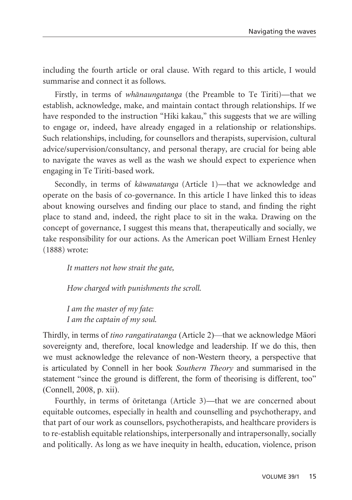including the fourth article or oral clause. With regard to this article, I would summarise and connect it as follows.

Firstly, in terms of *whänaungatanga* (the Preamble to Te Tiriti)—that we establish, acknowledge, make, and maintain contact through relationships. If we have responded to the instruction "Hiki kakau," this suggests that we are willing to engage or, indeed, have already engaged in a relationship or relationships. Such relationships, including, for counsellors and therapists, supervision, cultural advice/supervision/consultancy, and personal therapy, are crucial for being able to navigate the waves as well as the wash we should expect to experience when engaging in Te Tiriti-based work.

Secondly, in terms of *käwanatanga* (Article 1)—that we acknowledge and operate on the basis of co-governance. In this article I have linked this to ideas about knowing ourselves and finding our place to stand, and finding the right place to stand and, indeed, the right place to sit in the waka. Drawing on the concept of governance, I suggest this means that, therapeutically and socially, we take responsibility for our actions. As the American poet William Ernest Henley (1888) wrote:

*It matters not how strait the gate,*

*How charged with punishments the scroll.*

*I am the master of my fate: I am the captain of my soul.*

Thirdly, in terms of *tino rangatiratanga* (Article 2)—that we acknowledge Mäori sovereignty and, therefore, local knowledge and leadership. If we do this, then we must acknowledge the relevance of non-Western theory, a perspective that is articulated by Connell in her book *Southern Theory* and summarised in the statement "since the ground is different, the form of theorising is different, too" (Connell, 2008, p. xii).

Fourthly, in terms of öritetanga (Article 3)—that we are concerned about equitable outcomes, especially in health and counselling and psychotherapy, and that part of our work as counsellors, psychotherapists, and healthcare providers is to re-establish equitable relationships, interpersonally and intrapersonally, socially and politically. As long as we have inequity in health, education, violence, prison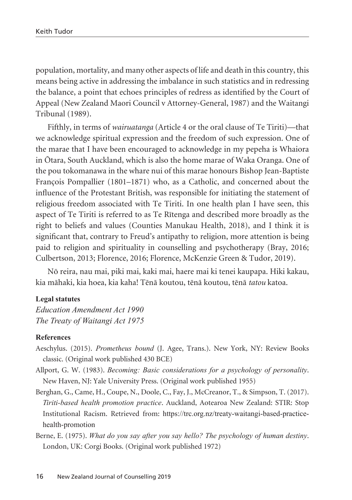population, mortality, and many other aspects of life and death in this country, this means being active in addressing the imbalance in such statistics and in redressing the balance, a point that echoes principles of redress as identified by the Court of Appeal (New Zealand Maori Council v Attorney-General, 1987) and the Waitangi Tribunal (1989).

Fifthly, in terms of *wairuatanga* (Article 4 or the oral clause of Te Tiriti)—that we acknowledge spiritual expression and the freedom of such expression. One of the marae that I have been encouraged to acknowledge in my pepeha is Whaiora in Ötara, South Auckland, which is also the home marae of Waka Oranga. One of the pou tokomanawa in the whare nui of this marae honours Bishop Jean-Baptiste François Pompallier (1801–1871) who, as a Catholic, and concerned about the influence of the Protestant British, was responsible for initiating the statement of religious freedom associated with Te Tiriti. In one health plan I have seen, this aspect of Te Tiriti is referred to as Te Rïtenga and described more broadly as the right to beliefs and values (Counties Manukau Health, 2018), and I think it is significant that, contrary to Freud's antipathy to religion, more attention is being paid to religion and spirituality in counselling and psychotherapy (Bray, 2016; Culbertson, 2013; Florence, 2016; Florence, McKenzie Green & Tudor, 2019).

Nö reira, nau mai, piki mai, kaki mai, haere mai ki tenei kaupapa. Hiki kakau, kia mähaki, kia hoea, kia kaha! Tënä koutou, tënä koutou, tënä *tatou* katoa.

#### **Legal statutes**

*Education Amendment Act 1990 The Treaty of Waitangi Act 1975*

#### **References**

- Aeschylus. (2015). *Prometheus bound* (J. Agee, Trans.). New York, NY: Review Books classic. (Original work published 430 BCE)
- Allport, G. W. (1983). *Becoming: Basic considerations for a psychology of personality*. New Haven, NJ: Yale University Press. (Original work published 1955)
- Berghan, G., Came, H., Coupe, N., Doole, C., Fay, J., McCreanor, T., & Simpson, T. (2017). *Tiriti-based health promotion practice*. Auckland, Aotearoa New Zealand: STIR: Stop Institutional Racism. Retrieved from: https://trc.org.nz/treaty-waitangi-based-practicehealth-promotion
- Berne, E. (1975). *What do you say after you say hello? The psychology of human destiny*. London, UK: Corgi Books. (Original work published 1972)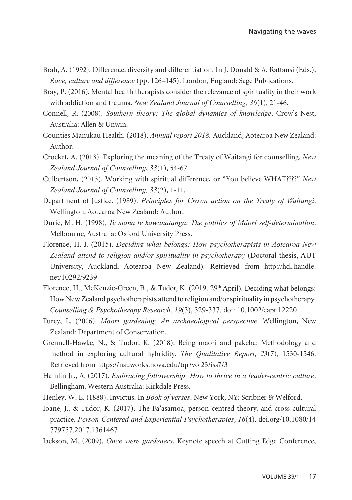- Brah, A. (1992). Difference, diversity and differentiation. In J. Donald & A. Rattansi (Eds.), *Race, culture and difference* (pp. 126–145). London, England: Sage Publications.
- Bray, P. (2016). Mental health therapists consider the relevance of spirituality in their work with addiction and trauma. *New Zealand Journal of Counselling*, *36*(1), 21-46.
- Connell, R. (2008). *Southern theory: The global dynamics of knowledge*. Crow's Nest, Australia: Allen & Unwin.
- Counties Manukau Health. (2018). *Annual report 2018.* Auckland, Aotearoa New Zealand: Author.
- Crocket, A. (2013). Exploring the meaning of the Treaty of Waitangi for counselling. *New Zealand Journal of Counselling*, *33*(1), 54-67.
- Culbertson, (2013). Working with spiritual difference, or "You believe WHAT????" *New Zealand Journal of Counselling, 33*(2), 1-11.
- Department of Justice. (1989). *Principles for Crown action on the Treaty of Waitangi*. Wellington, Aotearoa New Zealand: Author.
- Durie, M. H. (1998), *Te mana te kawanatanga: The politics of Mäori self-determination*. Melbourne, Australia: Oxford University Press.
- Florence, H. J. (2015). *Deciding what belongs: How psychotherapists in Aotearoa New Zealand attend to religion and/or spirituality in psychotherapy* (Doctoral thesis, AUT University, Auckland, Aotearoa New Zealand). Retrieved from http://hdl.handle. net/10292/9239
- Florence, H., McKenzie-Green, B., & Tudor, K. (2019,  $29<sup>th</sup>$  April). Deciding what belongs: How New Zealand psychotherapists attend to religion and/or spirituality in psychotherapy. *Counselling & Psychotherapy Research*, *19*(3), 329-337. doi: 10.1002/capr.12220
- Furey, L. (2006). *Maori gardening: An archaeological perspective*. Wellington, New Zealand: Department of Conservation.
- Grennell-Hawke, N., & Tudor, K. (2018). Being mäori and päkehä: Methodology and method in exploring cultural hybridity. *The Qualitative Report*, *23*(7), 1530-1546. Retrieved from https://nsuworks.nova.edu/tqr/vol23/iss7/3
- Hamlin Jr., A. (2017). *Embracing followership: How to thrive in a leader-centric culture*. Bellingham, Western Australia: Kirkdale Press.
- Henley, W. E. (1888). Invictus. In *Book of verses*. New York, NY: Scribner & Welford.
- Ioane, J., & Tudor, K. (2017). The Fa'ásamoa, person-centred theory, and cross-cultural practice. *Person-Centered and Experiential Psychotherapies*, *16*(4). doi.org/10.1080/14 779757.2017.1361467
- Jackson, M. (2009). *Once were gardeners*. Keynote speech at Cutting Edge Conference,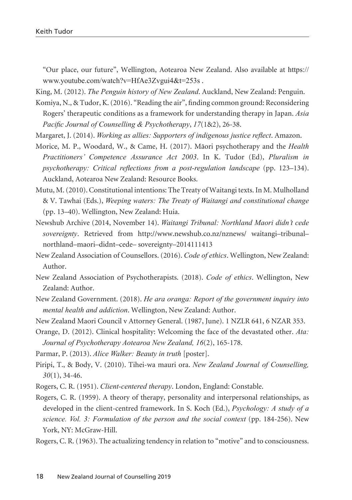"Our place, our future", Wellington, Aotearoa New Zealand. Also available at https:// www.youtube.com/watch?v=HfAe3Zvgui4&t=253s .

King, M. (2012). *The Penguin history of New Zealand*. Auckland, New Zealand: Penguin.

- Komiya, N., & Tudor, K. (2016). "Reading the air", finding common ground: Reconsidering Rogers' therapeutic conditions as a framework for understanding therapy in Japan. *Asia Pacific Journal of Counselling & Psychotherapy*, *17*(1&2), 26-38.
- Margaret, J. (2014). *Working as allies: Supporters of indigenous justice reflect*. Amazon.

Morice, M. P., Woodard, W., & Came, H. (2017). Mäori psychotherapy and the *Health Practitioners' Competence Assurance Act 2003*. In K. Tudor (Ed), *Pluralism in psychotherapy: Critical reflections from a post-regulation landscape* (pp. 123–134). Auckland, Aotearoa New Zealand: Resource Books.

- Mutu, M. (2010). Constitutional intentions: The Treaty of Waitangi texts. In M. Mulholland & V. Tawhai (Eds.), *Weeping waters: The Treaty of Waitangi and constitutional change* (pp. 13–40). Wellington, New Zealand: Huia.
- Newshub Archive (2014, November 14). *Waitangi Tribunal: Northland Maori didn't cede sovereignty*. Retrieved from http://www.newshub.co.nz/nznews/ waitangi–tribunal– northland–maori–didnt–cede– sovereignty–2014111413
- New Zealand Association of Counsellors. (2016). *Code of ethics*. Wellington, New Zealand: Author.
- New Zealand Association of Psychotherapists. (2018). *Code of ethics*. Wellington, New Zealand: Author.
- New Zealand Government. (2018). *He ara oranga: Report of the government inquiry into mental health and addiction*. Wellington, New Zealand: Author.

New Zealand Maori Council v Attorney General. (1987, June). 1 NZLR 641, 6 NZAR 353.

- Orange, D. (2012). Clinical hospitality: Welcoming the face of the devastated other. *Ata: Journal of Psychotherapy Aotearoa New Zealand, 16*(2), 165-178.
- Parmar, P. (2013). *Alice Walker: Beauty in truth* [poster].
- Piripi, T., & Body, V. (2010). Tihei-wa mauri ora. *New Zealand Journal of Counselling, 30*(1), 34-46.
- Rogers, C. R. (1951). *Client-centered therapy*. London, England: Constable.
- Rogers, C. R. (1959). A theory of therapy, personality and interpersonal relationships, as developed in the client-centred framework. In S. Koch (Ed.), *Psychology: A study of a science. Vol. 3: Formulation of the person and the social context* (pp. 184-256). New York, NY: McGraw-Hill.
- Rogers, C. R. (1963). The actualizing tendency in relation to "motive" and to consciousness.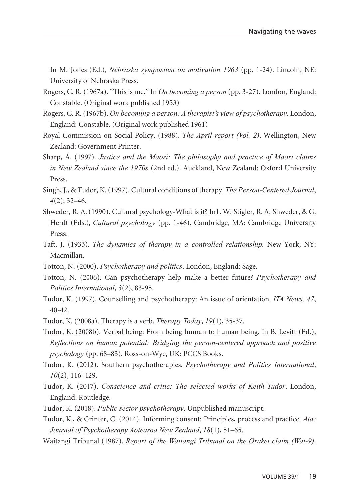In M. Jones (Ed.), *Nebraska symposium on motivation 1963* (pp. 1-24). Lincoln, NE: University of Nebraska Press.

- Rogers, C. R. (1967a). "This is me." In *On becoming a person* (pp. 3-27). London, England: Constable. (Original work published 1953)
- Rogers, C. R. (1967b). *On becoming a person: A therapist's view of psychotherapy*. London, England: Constable. (Original work published 1961)
- Royal Commission on Social Policy. (1988). *The April report (Vol. 2)*. Wellington, New Zealand: Government Printer.
- Sharp, A. (1997). *Justice and the Maori: The philosophy and practice of Maori claims in New Zealand since the 1970s* (2nd ed.). Auckland, New Zealand: Oxford University Press.
- Singh, J., & Tudor, K. (1997). Cultural conditions of therapy. *The Person-Centered Journal*, *4*(2), 32–46.
- Shweder, R. A. (1990). Cultural psychology-What is it? In1. W. Stigler, R. A. Shweder, & G. Herdt (Eds.), *Cultural psychology* (pp. 1-46). Cambridge, MA: Cambridge University Press.
- Taft, J. (1933). *The dynamics of therapy in a controlled relationship.* New York, NY: Macmillan.
- Totton, N. (2000). *Psychotherapy and politics*. London, England: Sage.
- Totton, N. (2006). Can psychotherapy help make a better future? *Psychotherapy and Politics International*, *3*(2), 83-95.
- Tudor, K. (1997). Counselling and psychotherapy: An issue of orientation. *ITA News, 47*, 40-42.
- Tudor, K. (2008a). Therapy is a verb. *Therapy Today*, *19*(1), 35-37.
- Tudor, K. (2008b). Verbal being: From being human to human being. In B. Levitt (Ed.), *Reflections on human potential: Bridging the person-centered approach and positive psychology* (pp. 68–83). Ross-on-Wye, UK: PCCS Books.
- Tudor, K. (2012). Southern psychotherapies. *Psychotherapy and Politics International*, *10*(2), 116–129.
- Tudor, K. (2017). *Conscience and critic: The selected works of Keith Tudor*. London, England: Routledge.
- Tudor, K. (2018). *Public sector psychotherapy*. Unpublished manuscript.
- Tudor, K., & Grinter, C. (2014). Informing consent: Principles, process and practice. *Ata: Journal of Psychotherapy Aotearoa New Zealand*, *18*(1), 51–65.
- Waitangi Tribunal (1987). *Report of the Waitangi Tribunal on the Orakei claim (Wai-9)*.